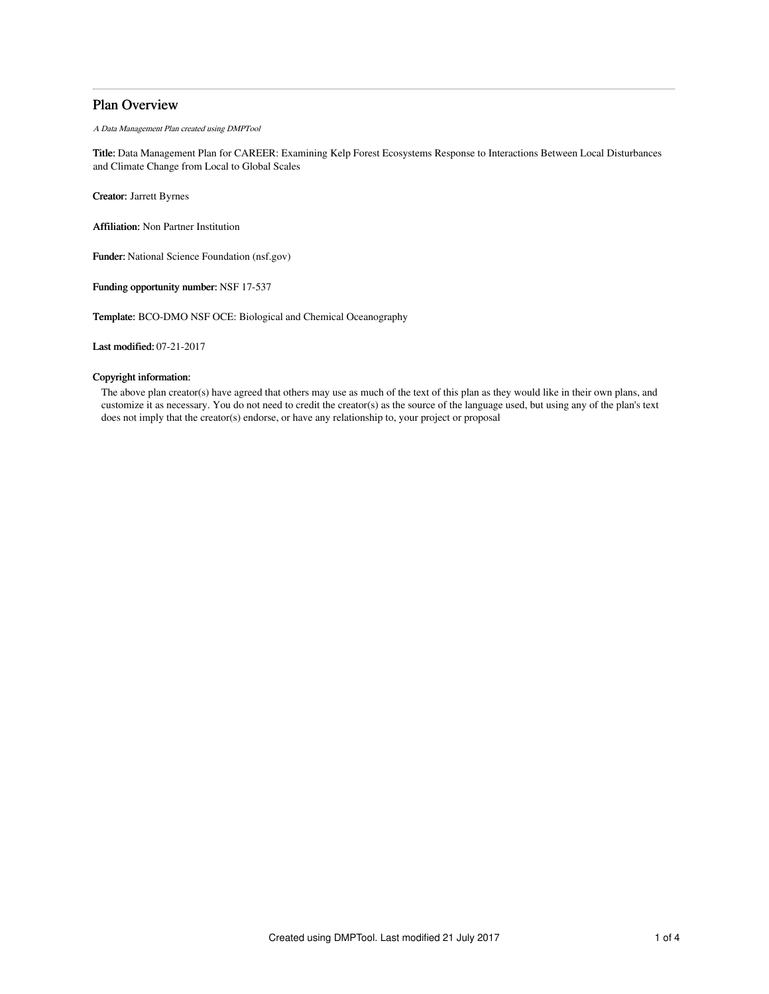# Plan Overview

A Data Management Plan created using DMPTool

Title: Data Management Plan for CAREER: Examining Kelp Forest Ecosystems Response to Interactions Between Local Disturbances and Climate Change from Local to Global Scales

Creator: Jarrett Byrnes

Affiliation: Non Partner Institution

Funder: National Science Foundation (nsf.gov)

Funding opportunity number: NSF 17-537

Template: BCO-DMO NSF OCE: Biological and Chemical Oceanography

Last modified: 07-21-2017

# Copyright information:

The above plan creator(s) have agreed that others may use as much of the text of this plan as they would like in their own plans, and customize it as necessary. You do not need to credit the creator(s) as the source of the language used, but using any of the plan's text does not imply that the creator(s) endorse, or have any relationship to, your project or proposal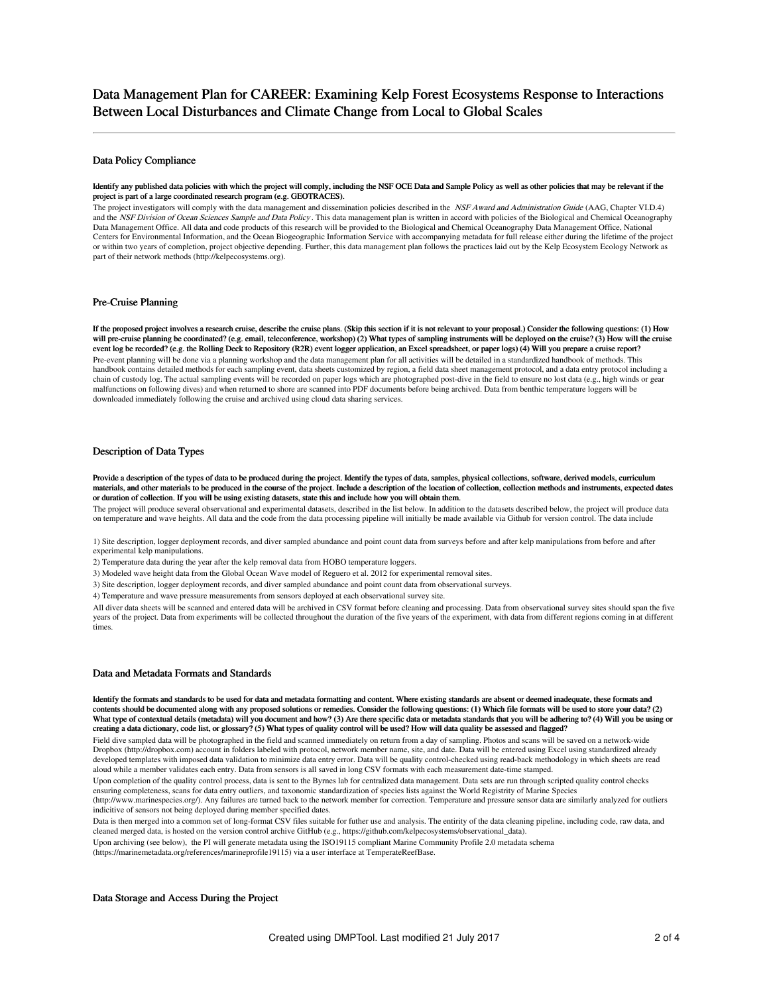## Data Policy Compliance

### Identify any published data policies with which the project will comply, including the NSF OCE Data and Sample Policy as well as other policies that may be relevant if the project is part of a large coordinated research program (e.g. GEOTRACES).

The project investigators will comply with the data management and dissemination policies described in the NSF Award and Administration Guide (AAG, Chapter VI.D.4) and the NSF Division of Ocean Sciences Sample and Data Policy. This data management plan is written in accord with policies of the Biological and Chemical Oceanography Data Management Office. All data and code products of this research will be provided to the Biological and Chemical Oceanography Data Management Office, National Centers for Environmental Information, and the Ocean Biogeographic Information Service with accompanying metadata for full release either during the lifetime of the project or within two years of completion, project objective depending. Further, this data management plan follows the practices laid out by the Kelp Ecosystem Ecology Network as part of their network methods (http://kelpecosystems.org).

# Pre-Cruise Planning

If the proposed project involves a research cruise, describe the cruise plans. (Skip this section if it is not relevant to your proposal.) Consider the following questions: (1) How will pre-cruise planning be coordinated? (e.g. email, teleconference, workshop) (2) What types of sampling instruments will be deployed on the cruise? (3) How will the cruise event log be recorded? (e.g. the Rolling Deck to Repository (R2R) event logger application, an Excel spreadsheet, or paper logs) (4) Will you prepare a cruise report? Pre-event planning will be done via a planning workshop and the data management plan for all activities will be detailed in a standardized handbook of methods. This handbook contains detailed methods for each sampling event, data sheets customized by region, a field data sheet management protocol, and a data entry protocol including a chain of custody log. The actual sampling events will be recorded on paper logs which are photographed post-dive in the field to ensure no lost data (e.g., high winds or gear malfunctions on following dives) and when returned to shore are scanned into PDF documents before being archived. Data from benthic temperature loggers will be downloaded immediately following the cruise and archived using cloud data sharing services.

# Description of Data Types

Provide a description of the types of data to be produced during the project. Identify the types of data, samples, physical collections, software, derived models, curriculum materials, and other materials to be produced in the course of the project. Include a description of the location of collection, collection methods and instruments, expected dates or duration of collection. If you will be using existing datasets, state this and include how you will obtain them.

The project will produce several observational and experimental datasets, described in the list below. In addition to the datasets described below, the project will produce data on temperature and wave heights. All data and the code from the data processing pipeline will initially be made available via Github for version control. The data include

1) Site description, logger deployment records, and diver sampled abundance and point count data from surveys before and after kelp manipulations from before and after experimental kelp manipulations.

2) Temperature data during the year after the kelp removal data from HOBO temperature loggers.

3) Modeled wave height data from the Global Ocean Wave model of Reguero et al. 2012 for experimental removal sites.

3) Site description, logger deployment records, and diver sampled abundance and point count data from observational surveys.

4) Temperature and wave pressure measurements from sensors deployed at each observational survey site.

All diver data sheets will be scanned and entered data will be archived in CSV format before cleaning and processing. Data from observational survey sites should span the five years of the project. Data from experiments will be collected throughout the duration of the five years of the experiment, with data from different regions coming in at different times.

## Data and Metadata Formats and Standards

Identify the formats and standards to be used for data and metadata formatting and content. Where existing standards are absent or deemed inadequate, these formats and contents should be documented along with any proposed solutions or remedies. Consider the following questions: (1) Which file formats will be used to store your data? (2) What type of contextual details (metadata) will you document and how? (3) Are there specific data or metadata standards that you will be adhering to? (4) Will you be using or creating a data dictionary, code list, or glossary? (5) What types of quality control will be used? How will data quality be assessed and flagged?

Field dive sampled data will be photographed in the field and scanned immediately on return from a day of sampling. Photos and scans will be saved on a network-wide Dropbox (http://dropbox.com) account in folders labeled with protocol, network member name, site, and date. Data will be entered using Excel using standardized already developed templates with imposed data validation to minimize data entry error. Data will be quality control-checked using read-back methodology in which sheets are read aloud while a member validates each entry. Data from sensors is all saved in long CSV formats with each measurement date-time stamped.

Upon completion of the quality control process, data is sent to the Byrnes lab for centralized data management. Data sets are run through scripted quality control checks ensuring completeness, scans for data entry outliers, and taxonomic standardization of species lists against the World Registrity of Marine Species

(http://www.marinespecies.org/). Any failures are turned back to the network member for correction. Temperature and pressure sensor data are similarly analyzed for outliers indicitive of sensors not being deployed during member specified dates.

Data is then merged into a common set of long-format CSV files suitable for futher use and analysis. The entirity of the data cleaning pipeline, including code, raw data, and cleaned merged data, is hosted on the version control archive GitHub (e.g., https://github.com/kelpecosystems/observational\_data).

Upon archiving (see below), the PI will generate metadata using the ISO19115 compliant Marine Community Profile 2.0 metadata schema

(https://marinemetadata.org/references/marineprofile19115) via a user interface at TemperateReefBase.

# Data Storage and Access During the Project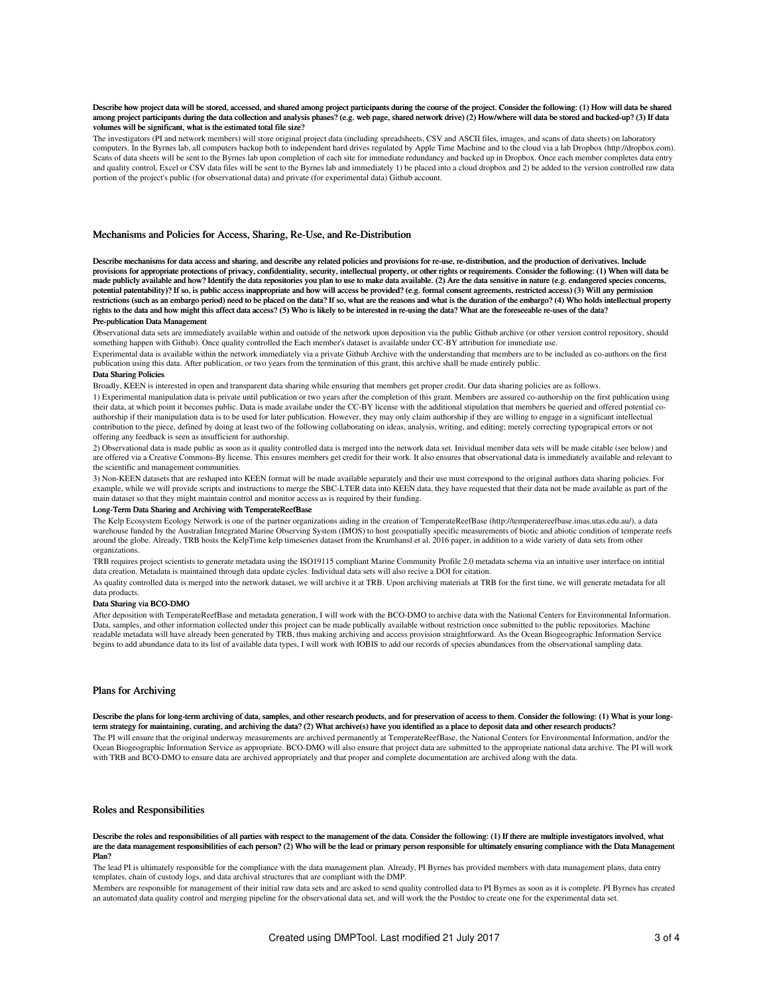#### Describe how project data will be stored, accessed, and shared among project participants during the course of the project. Consider the following: (1) How will data be shared among project participants during the data collection and analysis phases? (e.g. web page, shared network drive) (2) How/where will data be stored and backed-up? (3) If data volumes will be significant, what is the estimated total file size?

The investigators (PI and network members) will store original project data (including spreadsheets, CSV and ASCII files, images, and scans of data sheets) on laboratory computers. In the Byrnes lab, all computers backup both to independent hard drives regulated by Apple Time Machine and to the cloud via a lab Dropbox (http://dropbox.com). Scans of data sheets will be sent to the Byrnes lab upon completion of each site for immediate redundancy and backed up in Dropbox. Once each member completes data entry and quality control, Excel or CSV data files will be sent to the Byrnes lab and immediately 1) be placed into a cloud dropbox and 2) be added to the version controlled raw data portion of the project's public (for observational data) and private (for experimental data) Github account.

### Mechanisms and Policies for Access, Sharing, Re-Use, and Re-Distribution

Describe mechanisms for data access and sharing, and describe any related policies and provisions for re-use, re-distribution, and the production of derivatives. Include provisions for appropriate protections of privacy, confidentiality, security, intellectual property, or other rights or requirements. Consider the following: (1) When will data be made publicly available and how? Identify the data repositories you plan to use to make data available. (2) Are the data sensitive in nature (e.g. endangered species concerns, potential patentability)? If so, is public access inappropriate and how will access be provided? (e.g. formal consent agreements, restricted access) (3) Will any permission restrictions (such as an embargo period) need to be placed on the data? If so, what are the reasons and what is the duration of the embargo? (4) Who holds intellectual property rights to the data and how might this affect data access? (5) Who is likely to be interested in re-using the data? What are the foreseeable re-uses of the data? Pre-publication Data Management

Observational data sets are immediately available within and outside of the network upon deposition via the public Github archive (or other version control repository, should something happen with Github). Once quality controlled the Each member's dataset is available under CC-BY attribution for immediate use.

Experimental data is available within the network immediately via a private Github Archive with the understanding that members are to be included as co-authors on the first publication using this data. After publication, or two years from the termination of this grant, this archive shall be made entirely public.

# Data Sharing Policies

Broadly, KEEN is interested in open and transparent data sharing while ensuring that members get proper credit. Our data sharing policies are as follows.

1) Experimental manipulation data is private until publication or two years after the completion of this grant. Members are assured co-authorship on the first publication using their data, at which point it becomes public. Data is made availabe under the CC-BY license with the additional stipulation that members be queried and offered potential coauthorship if their manipulation data is to be used for later publication. However, they may only claim authorship if they are willing to engage in a significant intellectual contribution to the piece, defined by doing at least two of the following collaborating on ideas, analysis, writing, and editing; merely correcting typograpical errors or not offering any feedback is seen as insufficient for authorship.

2) Observational data is made public as soon as it quality controlled data is merged into the network data set. Inividual member data sets will be made citable (see below) and are offered via a Creative Commons-By license. This ensures members get credit for their work. It also ensures that observational data is immediately available and relevant to the scientific and management communities.

3) Non-KEEN datasets that are reshaped into KEEN format will be made available separately and their use must correspond to the original authors data sharing policies. For example, while we will provide scripts and instructions to merge the SBC-LTER data into KEEN data, they have requested that their data not be made available as part of the main dataset so that they might maintain control and monitor access as is required by their funding.

### Long-Term Data Sharing and Archiving with TemperateReefBase

The Kelp Ecosystem Ecology Network is one of the partner organizations aiding in the creation of TemperateReefBase (http://temperatereefbase.imas.utas.edu.au/), a data warehouse funded by the Australian Integrated Marine Observing System (IMOS) to host geospatially specific measurements of biotic and abiotic condition of temperate reefs around the globe. Already, TRB hosts the KelpTime kelp timeseries dataset from the Krumhansl et al. 2016 paper, in addition to a wide variety of data sets from other organizations.

TRB requires project scientists to generate metadata using the ISO19115 compliant Marine Community Profile 2.0 metadata schema via an intuitive user interface on intitial data creation. Metadata is maintained through data update cycles. Individual data sets will also recive a DOI for citation.

As quality controlled data is merged into the network dataset, we will archive it at TRB. Upon archiving materials at TRB for the first time, we will generate metadata for all data products.

### Data Sharing via BCO-DMO

After deposition with TemperateReefBase and metadata generation, I will work with the BCO-DMO to archive data with the National Centers for Environmental Information. Data, samples, and other information collected under this project can be made publically available without restriction once submitted to the public repositories. Machine readable metadata will have already been generated by TRB, thus making archiving and access provision straightforward. As the Ocean Biogeographic Information Service begins to add abundance data to its list of available data types, I will work with IOBIS to add our records of species abundances from the observational sampling data.

# Plans for Archiving

Describe the plans for long-term archiving of data, samples, and other research products, and for preservation of access to them. Consider the following: (1) What is your longterm strategy for maintaining, curating, and archiving the data? (2) What archive(s) have you identified as a place to deposit data and other research products?

The PI will ensure that the original underway measurements are archived permanently at TemperateReefBase, the National Centers for Environmental Information, and/or the Ocean Biogeographic Information Service as appropriate. BCO-DMO will also ensure that project data are submitted to the appropriate national data archive. The PI will work with TRB and BCO-DMO to ensure data are archived appropriately and that proper and complete documentation are archived along with the data.

#### Roles and Responsibilities

Describe the roles and responsibilities of all parties with respect to the management of the data. Consider the following: (1) If there are multiple investigators involved, what are the data management responsibilities of each person? (2) Who will be the lead or primary person responsible for ultimately ensuring compliance with the Data Management Plan?

The lead PI is ultimately responsible for the compliance with the data management plan. Already, PI Byrnes has provided members with data management plans, data entry templates, chain of custody logs, and data archival structures that are compliant with the DMP.

Members are responsible for management of their initial raw data sets and are asked to send quality controlled data to PI Byrnes as soon as it is complete. PI Byrnes has created an automated data quality control and merging pipeline for the observational data set, and will work the the Postdoc to create one for the experimental data set.